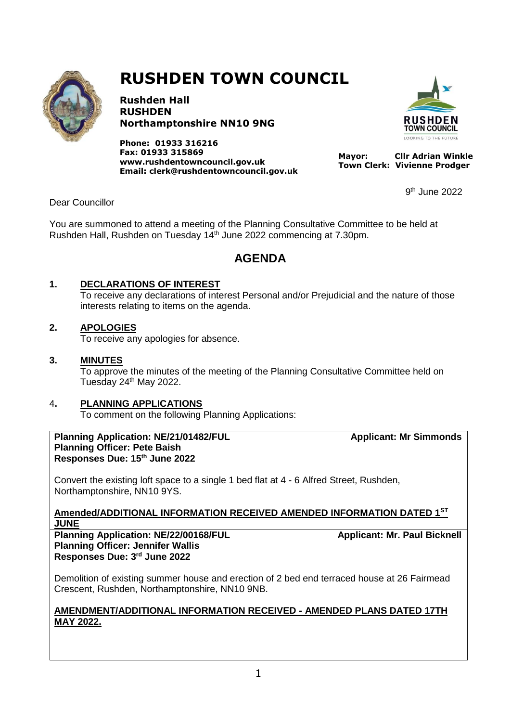

# **RUSHDEN TOWN COUNCIL**

**Rushden Hall RUSHDEN Northamptonshire NN10 9NG**

**Phone: 01933 316216 Fax: 01933 315869 [www.rushdentowncouncil.gov.uk](http://www.rushdentowncouncil.gov.uk/) Email: clerk@rushdentowncouncil.gov.uk**



 $9<sup>th</sup>$  June 2022

 **Mayor: Cllr Adrian Winkle Town Clerk: Vivienne Prodger**

9

Dear Councillor

You are summoned to attend a meeting of the Planning Consultative Committee to be held at Rushden Hall, Rushden on Tuesday 14<sup>th</sup> June 2022 commencing at 7.30pm.

# **AGENDA**

## **1. DECLARATIONS OF INTEREST**

To receive any declarations of interest Personal and/or Prejudicial and the nature of those interests relating to items on the agenda.

## **2. APOLOGIES**

To receive any apologies for absence.

#### **3. MINUTES**

To approve the minutes of the meeting of the Planning Consultative Committee held on Tuesday 24<sup>th</sup> May 2022.

#### 4**. PLANNING APPLICATIONS**

To comment on the following Planning Applications:

**Planning Application: NE/21/01482/FUL Applicant: Mr Simmonds Planning Officer: Pete Baish Responses Due: 15th June 2022**

Convert the existing loft space to a single 1 bed flat at 4 - 6 Alfred Street, Rushden, Northamptonshire, NN10 9YS.

**Amended/ADDITIONAL INFORMATION RECEIVED AMENDED INFORMATION DATED 1ST JUNE** 

**Planning Application: NE/22/00168/FUL Applicant: Mr. Paul Bicknell Planning Officer: Jennifer Wallis Responses Due: 3 rd June 2022**

Demolition of existing summer house and erection of 2 bed end terraced house at 26 Fairmead Crescent, Rushden, Northamptonshire, NN10 9NB.

## **AMENDMENT/ADDITIONAL INFORMATION RECEIVED - AMENDED PLANS DATED 17TH MAY 2022.**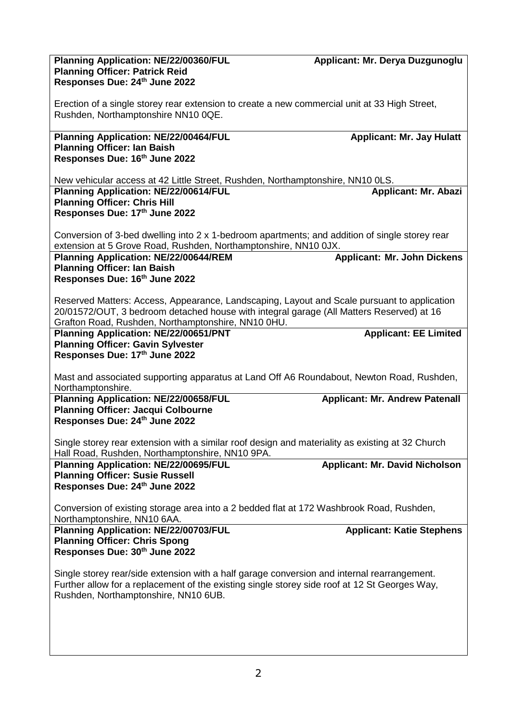| Planning Application: NE/22/00360/FUL                                                                                                | Applicant: Mr. Derya Duzgunoglu       |
|--------------------------------------------------------------------------------------------------------------------------------------|---------------------------------------|
| <b>Planning Officer: Patrick Reid</b>                                                                                                |                                       |
| Responses Due: 24th June 2022                                                                                                        |                                       |
|                                                                                                                                      |                                       |
| Erection of a single storey rear extension to create a new commercial unit at 33 High Street,<br>Rushden, Northamptonshire NN10 0QE. |                                       |
|                                                                                                                                      |                                       |
| Planning Application: NE/22/00464/FUL                                                                                                | <b>Applicant: Mr. Jay Hulatt</b>      |
| <b>Planning Officer: Ian Baish</b>                                                                                                   |                                       |
| Responses Due: 16th June 2022                                                                                                        |                                       |
|                                                                                                                                      |                                       |
| New vehicular access at 42 Little Street, Rushden, Northamptonshire, NN10 0LS.                                                       |                                       |
| Planning Application: NE/22/00614/FUL                                                                                                | <b>Applicant: Mr. Abazi</b>           |
| <b>Planning Officer: Chris Hill</b>                                                                                                  |                                       |
| Responses Due: 17th June 2022                                                                                                        |                                       |
| Conversion of 3-bed dwelling into 2 x 1-bedroom apartments; and addition of single storey rear                                       |                                       |
| extension at 5 Grove Road, Rushden, Northamptonshire, NN10 0JX.                                                                      |                                       |
| Planning Application: NE/22/00644/REM                                                                                                | <b>Applicant: Mr. John Dickens</b>    |
| <b>Planning Officer: Ian Baish</b>                                                                                                   |                                       |
| Responses Due: 16th June 2022                                                                                                        |                                       |
|                                                                                                                                      |                                       |
| Reserved Matters: Access, Appearance, Landscaping, Layout and Scale pursuant to application                                          |                                       |
| 20/01572/OUT, 3 bedroom detached house with integral garage (All Matters Reserved) at 16                                             |                                       |
| Grafton Road, Rushden, Northamptonshire, NN10 0HU.                                                                                   |                                       |
| Planning Application: NE/22/00651/PNT                                                                                                | <b>Applicant: EE Limited</b>          |
| <b>Planning Officer: Gavin Sylvester</b><br>Responses Due: 17th June 2022                                                            |                                       |
|                                                                                                                                      |                                       |
| Mast and associated supporting apparatus at Land Off A6 Roundabout, Newton Road, Rushden,                                            |                                       |
| Northamptonshire.                                                                                                                    |                                       |
| Planning Application: NE/22/00658/FUL                                                                                                | <b>Applicant: Mr. Andrew Patenall</b> |
| <b>Planning Officer: Jacqui Colbourne</b>                                                                                            |                                       |
| Responses Due: 24th June 2022                                                                                                        |                                       |
|                                                                                                                                      |                                       |
| Single storey rear extension with a similar roof design and materiality as existing at 32 Church                                     |                                       |
| Hall Road, Rushden, Northamptonshire, NN10 9PA.                                                                                      |                                       |
| Planning Application: NE/22/00695/FUL<br><b>Planning Officer: Susie Russell</b>                                                      | <b>Applicant: Mr. David Nicholson</b> |
| Responses Due: 24th June 2022                                                                                                        |                                       |
|                                                                                                                                      |                                       |
| Conversion of existing storage area into a 2 bedded flat at 172 Washbrook Road, Rushden,                                             |                                       |
| Northamptonshire, NN10 6AA.                                                                                                          |                                       |
| Planning Application: NE/22/00703/FUL                                                                                                | <b>Applicant: Katie Stephens</b>      |
| <b>Planning Officer: Chris Spong</b>                                                                                                 |                                       |
| Responses Due: 30th June 2022                                                                                                        |                                       |
| Single storey rear/side extension with a half garage conversion and internal rearrangement.                                          |                                       |
| Further allow for a replacement of the existing single storey side roof at 12 St Georges Way,                                        |                                       |
| Rushden, Northamptonshire, NN10 6UB.                                                                                                 |                                       |
|                                                                                                                                      |                                       |
|                                                                                                                                      |                                       |
|                                                                                                                                      |                                       |
|                                                                                                                                      |                                       |
|                                                                                                                                      |                                       |